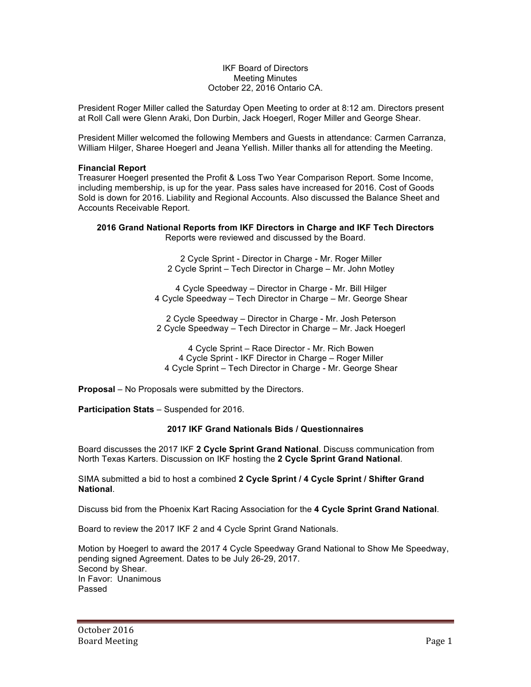## IKF Board of Directors Meeting Minutes October 22, 2016 Ontario CA.

President Roger Miller called the Saturday Open Meeting to order at 8:12 am. Directors present at Roll Call were Glenn Araki, Don Durbin, Jack Hoegerl, Roger Miller and George Shear.

President Miller welcomed the following Members and Guests in attendance: Carmen Carranza, William Hilger, Sharee Hoegerl and Jeana Yellish. Miller thanks all for attending the Meeting.

### **Financial Report**

Treasurer Hoegerl presented the Profit & Loss Two Year Comparison Report. Some Income, including membership, is up for the year. Pass sales have increased for 2016. Cost of Goods Sold is down for 2016. Liability and Regional Accounts. Also discussed the Balance Sheet and Accounts Receivable Report.

#### **2016 Grand National Reports from IKF Directors in Charge and IKF Tech Directors** Reports were reviewed and discussed by the Board.

2 Cycle Sprint - Director in Charge - Mr. Roger Miller 2 Cycle Sprint – Tech Director in Charge – Mr. John Motley

4 Cycle Speedway – Director in Charge - Mr. Bill Hilger 4 Cycle Speedway – Tech Director in Charge – Mr. George Shear

2 Cycle Speedway – Director in Charge - Mr. Josh Peterson 2 Cycle Speedway – Tech Director in Charge – Mr. Jack Hoegerl

4 Cycle Sprint – Race Director - Mr. Rich Bowen 4 Cycle Sprint - IKF Director in Charge – Roger Miller 4 Cycle Sprint – Tech Director in Charge - Mr. George Shear

**Proposal** – No Proposals were submitted by the Directors.

**Participation Stats** – Suspended for 2016.

# **2017 IKF Grand Nationals Bids / Questionnaires**

Board discusses the 2017 IKF **2 Cycle Sprint Grand National**. Discuss communication from North Texas Karters. Discussion on IKF hosting the **2 Cycle Sprint Grand National**.

SIMA submitted a bid to host a combined **2 Cycle Sprint / 4 Cycle Sprint / Shifter Grand National**.

Discuss bid from the Phoenix Kart Racing Association for the **4 Cycle Sprint Grand National**.

Board to review the 2017 IKF 2 and 4 Cycle Sprint Grand Nationals.

Motion by Hoegerl to award the 2017 4 Cycle Speedway Grand National to Show Me Speedway, pending signed Agreement. Dates to be July 26-29, 2017. Second by Shear. In Favor: Unanimous Passed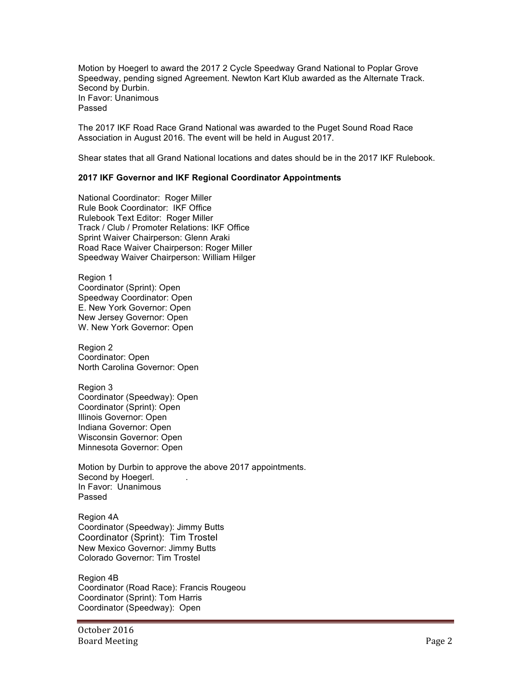Motion by Hoegerl to award the 2017 2 Cycle Speedway Grand National to Poplar Grove Speedway, pending signed Agreement. Newton Kart Klub awarded as the Alternate Track. Second by Durbin. In Favor: Unanimous Passed

The 2017 IKF Road Race Grand National was awarded to the Puget Sound Road Race Association in August 2016. The event will be held in August 2017.

Shear states that all Grand National locations and dates should be in the 2017 IKF Rulebook.

### **2017 IKF Governor and IKF Regional Coordinator Appointments**

National Coordinator: Roger Miller Rule Book Coordinator: IKF Office Rulebook Text Editor: Roger Miller Track / Club / Promoter Relations: IKF Office Sprint Waiver Chairperson: Glenn Araki Road Race Waiver Chairperson: Roger Miller Speedway Waiver Chairperson: William Hilger

Region 1 Coordinator (Sprint): Open Speedway Coordinator: Open E. New York Governor: Open New Jersey Governor: Open W. New York Governor: Open

Region 2 Coordinator: Open North Carolina Governor: Open

Region 3 Coordinator (Speedway): Open Coordinator (Sprint): Open Illinois Governor: Open Indiana Governor: Open Wisconsin Governor: Open Minnesota Governor: Open

Motion by Durbin to approve the above 2017 appointments. Second by Hoegerl. In Favor: Unanimous Passed

Region 4A Coordinator (Speedway): Jimmy Butts Coordinator (Sprint): Tim Trostel New Mexico Governor: Jimmy Butts Colorado Governor: Tim Trostel

Region 4B Coordinator (Road Race): Francis Rougeou Coordinator (Sprint): Tom Harris Coordinator (Speedway): Open

October 2016 Board Meeting Page 2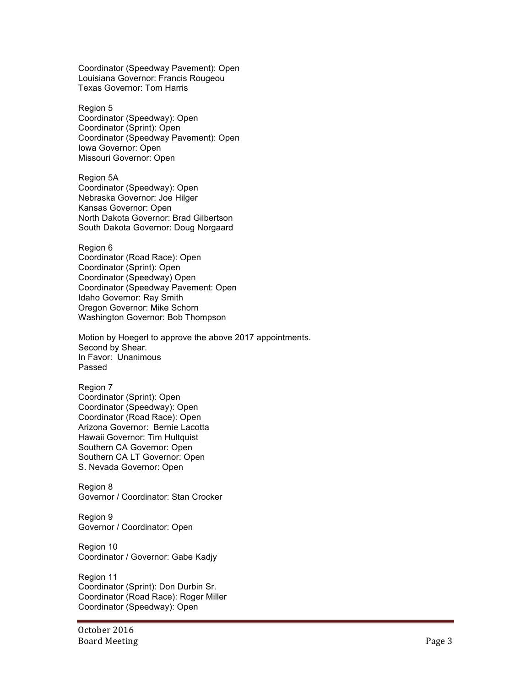Coordinator (Speedway Pavement): Open Louisiana Governor: Francis Rougeou Texas Governor: Tom Harris

Region 5 Coordinator (Speedway): Open Coordinator (Sprint): Open Coordinator (Speedway Pavement): Open Iowa Governor: Open Missouri Governor: Open

Region 5A Coordinator (Speedway): Open Nebraska Governor: Joe Hilger Kansas Governor: Open North Dakota Governor: Brad Gilbertson South Dakota Governor: Doug Norgaard

Region 6 Coordinator (Road Race): Open Coordinator (Sprint): Open Coordinator (Speedway) Open Coordinator (Speedway Pavement: Open Idaho Governor: Ray Smith Oregon Governor: Mike Schorn Washington Governor: Bob Thompson

Motion by Hoegerl to approve the above 2017 appointments. Second by Shear. In Favor: Unanimous Passed

Region 7 Coordinator (Sprint): Open Coordinator (Speedway): Open Coordinator (Road Race): Open Arizona Governor: Bernie Lacotta Hawaii Governor: Tim Hultquist Southern CA Governor: Open Southern CA LT Governor: Open S. Nevada Governor: Open

Region 8 Governor / Coordinator: Stan Crocker

Region 9 Governor / Coordinator: Open

Region 10 Coordinator / Governor: Gabe Kadjy

Region 11 Coordinator (Sprint): Don Durbin Sr. Coordinator (Road Race): Roger Miller Coordinator (Speedway): Open

October 2016 Board Meeting Page 3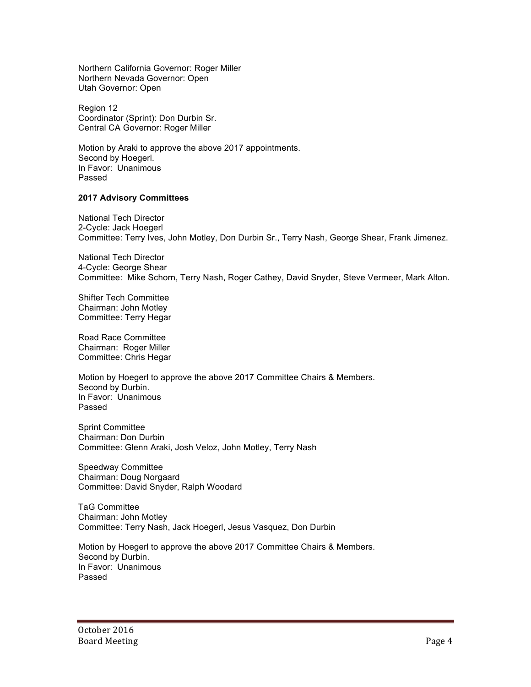Northern California Governor: Roger Miller Northern Nevada Governor: Open Utah Governor: Open

Region 12 Coordinator (Sprint): Don Durbin Sr. Central CA Governor: Roger Miller

Motion by Araki to approve the above 2017 appointments. Second by Hoegerl. In Favor: Unanimous Passed

## **2017 Advisory Committees**

National Tech Director 2-Cycle: Jack Hoegerl Committee: Terry Ives, John Motley, Don Durbin Sr., Terry Nash, George Shear, Frank Jimenez.

National Tech Director 4-Cycle: George Shear Committee: Mike Schorn, Terry Nash, Roger Cathey, David Snyder, Steve Vermeer, Mark Alton.

Shifter Tech Committee Chairman: John Motley Committee: Terry Hegar

Road Race Committee Chairman: Roger Miller Committee: Chris Hegar

Motion by Hoegerl to approve the above 2017 Committee Chairs & Members. Second by Durbin. In Favor: Unanimous Passed

Sprint Committee Chairman: Don Durbin Committee: Glenn Araki, Josh Veloz, John Motley, Terry Nash

Speedway Committee Chairman: Doug Norgaard Committee: David Snyder, Ralph Woodard

TaG Committee Chairman: John Motley Committee: Terry Nash, Jack Hoegerl, Jesus Vasquez, Don Durbin

Motion by Hoegerl to approve the above 2017 Committee Chairs & Members. Second by Durbin. In Favor: Unanimous Passed